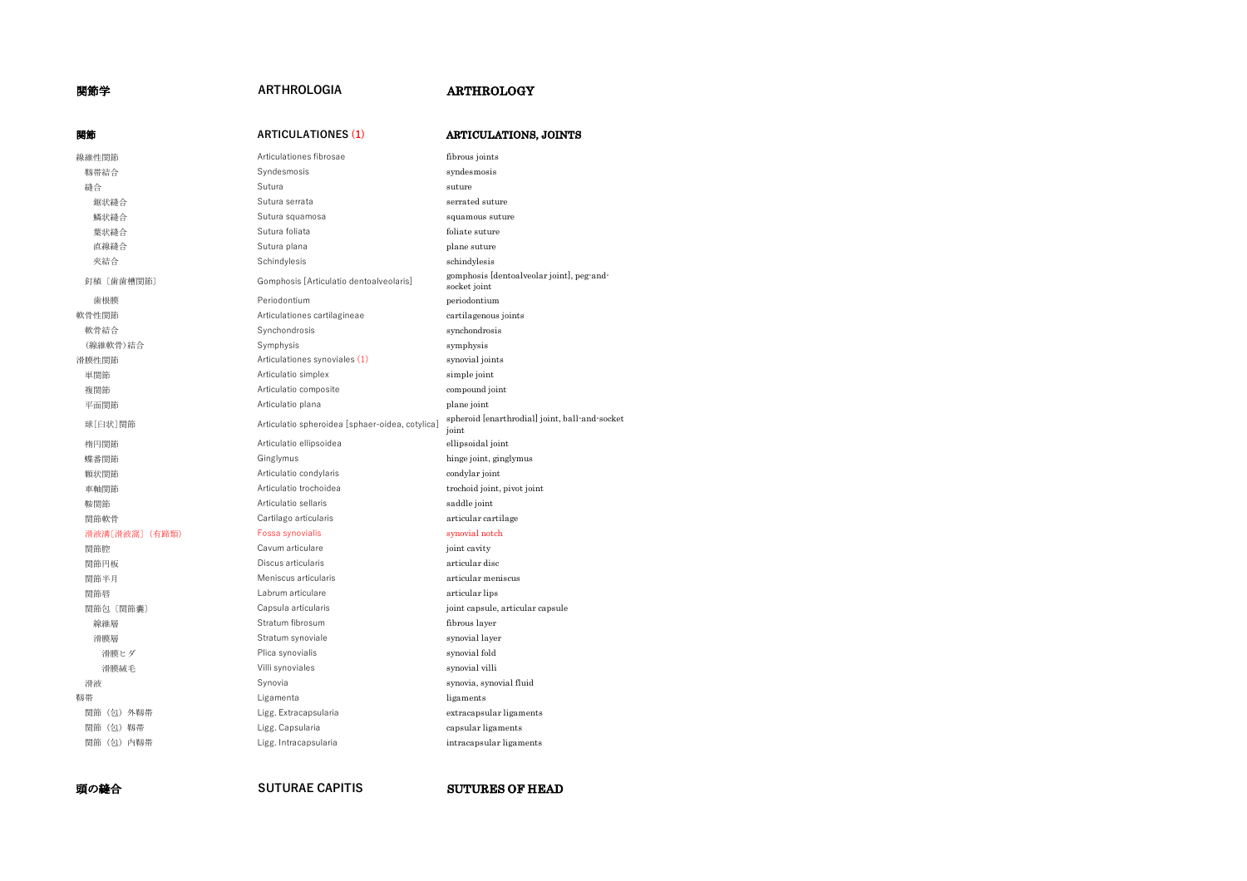# 関節学 **ARTHROLOGIA** ARTHROLOGY

| 関節            | <b>ARTICULATIONES (1)</b>                       | <b>ARTICULATIONS, JOINTS</b>                              |
|---------------|-------------------------------------------------|-----------------------------------------------------------|
| 線維性関節         | Articulationes fibrosae                         | fibrous joints                                            |
| 靱帯結合          | Svndesmosis                                     | syndesmosis                                               |
| 縫合            | Sutura                                          | suture                                                    |
| 鋸状縫合          | Sutura serrata                                  | serrated suture                                           |
| 鱗状縫合          | Sutura squamosa                                 | squamous suture                                           |
| 葉状縫合          | Sutura foliata                                  | foliate suture                                            |
| 直線縫合          | Sutura plana                                    | plane suture                                              |
| 夾結合           | Schindylesis                                    | schindylesis                                              |
| 釘植〔歯歯槽関節〕     | Gomphosis [Articulatio dentoalveolaris]         | gomphosis [dentoalveolar joint], peg-and-<br>socket joint |
| 歯根膜           | Periodontium                                    | periodontium                                              |
| 軟骨性関節         | Articulationes cartilagineae                    | cartilagenous joints                                      |
| 軟骨結合          | Synchondrosis                                   | synchondrosis                                             |
| (線維軟骨)結合      | Symphysis                                       | symphysis                                                 |
| 滑膜性関節         | Articulationes synoviales (1)                   | synovial joints                                           |
| 単関節           | Articulatio simplex                             | simple joint                                              |
| 複関節           | Articulatio composite                           | compound joint                                            |
| 平面関節          | Articulatio plana                               | plane joint                                               |
| 球[臼状]関節       | Articulatio spheroidea [sphaer-oidea, cotylica] | spheroid [enarthrodial] joint, ball-and-socket<br>joint   |
| 楕円関節          | Articulatio ellipsoidea                         | ellipsoidal joint                                         |
| 蝶番関節          | Ginglymus                                       | hinge joint, ginglymus                                    |
| 顆状関節          | Articulatio condylaris                          | condylar joint                                            |
| 車軸関節          | Articulatio trochoidea                          | trochoid joint, pivot joint                               |
| 鞍関節           | Articulatio sellaris                            | saddle joint                                              |
| 関節軟骨          | Cartilago articularis                           | articular cartilage                                       |
| 滑液溝[滑液窩](有蹄類) | Fossa synovialis                                | synovial notch                                            |
| 関節腔           | Cavum articulare                                | joint cavity                                              |
| 関節円板          | Discus articularis                              | articular disc                                            |
| 関節半月          | Meniscus articularis                            | articular meniscus                                        |
| 関節唇           | Labrum articulare                               | articular lips                                            |
| 関節包 [関節囊]     | Capsula articularis                             | joint capsule, articular capsule                          |
| 線維層           | Stratum fibrosum                                | fibrous layer                                             |
| 滑膜層           | Stratum synoviale                               | synovial layer                                            |
| 滑膜ヒダ          | Plica synovialis                                | synovial fold                                             |
| 滑膜絨毛          | Villi synoviales                                | synovial villi                                            |
| 滑液            | Synovia                                         | synovia, synovial fluid                                   |
| 靱帯            | Ligamenta                                       | ligaments                                                 |
| 関節(包)外靱帯      | Ligg. Extracapsularia                           | extracapsular ligaments                                   |
| 関節(包)靱帯       | Ligg. Capsularia                                | capsular ligaments                                        |
| 関節(包)内靱帯      | Ligg. Intracapsularia                           | intracapsular ligaments                                   |
|               |                                                 |                                                           |

**頭の縫合 SUTURAE CAPITIS SUTURES OF HEAD**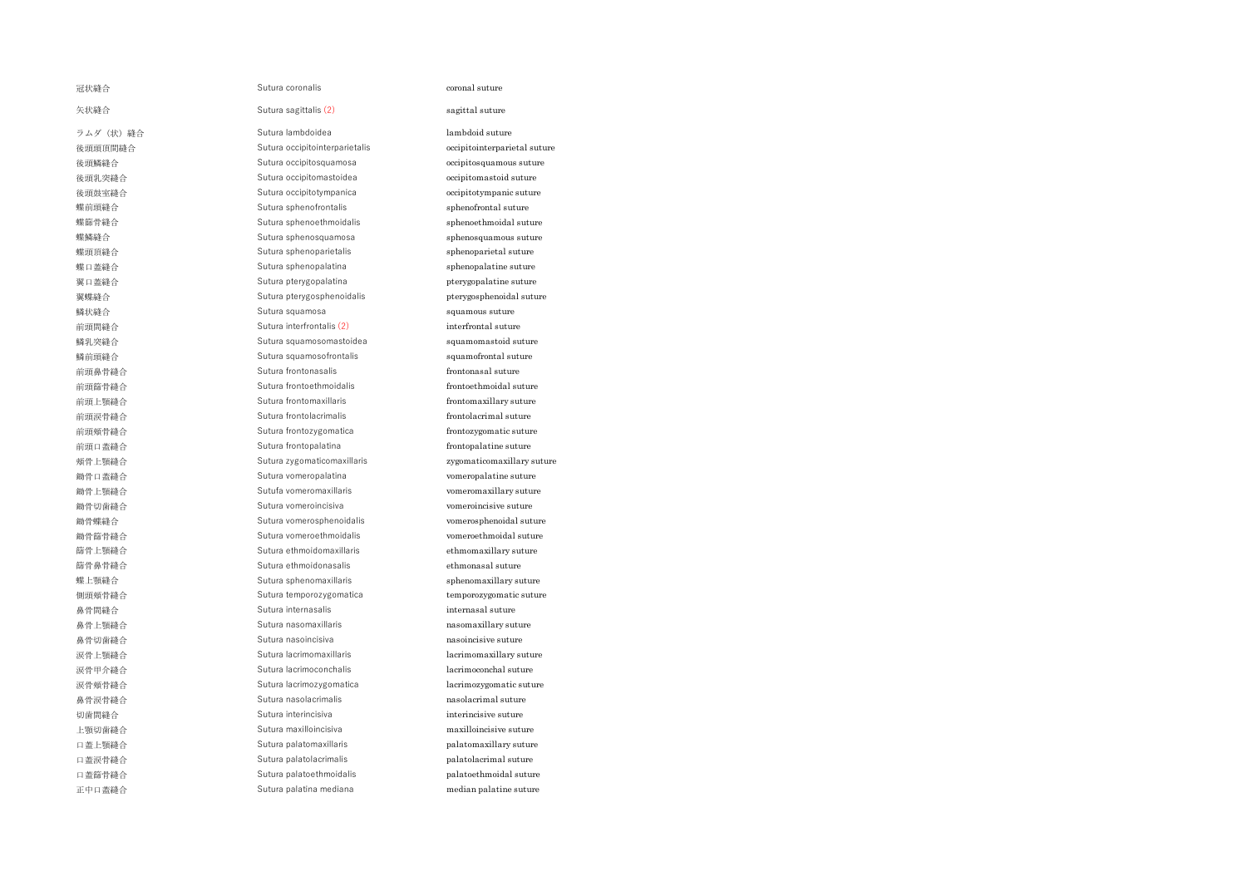| 冠状縫合       | Sutura coronalis               | coronal suture               |
|------------|--------------------------------|------------------------------|
| 矢状縫合       | Sutura sagittalis (2)          | sagittal suture              |
| ラムダ (状) 縫合 | Sutura lambdoidea              | lambdoid suture              |
| 後頭頭頂間縫合    | Sutura occipitointerparietalis | occipitointerparietal suture |
| 後頭鱗縫合      | Sutura occipitosquamosa        | occipitosquamous suture      |
| 後頭乳突縫合     | Sutura occipitomastoidea       | occipitomastoid suture       |
| 後頭鼓室縫合     | Sutura occipitotympanica       | occipitotympanic suture      |
| 蝶前頭縫合      | Sutura sphenofrontalis         | sphenofrontal suture         |
| 蝶篩骨縫合      | Sutura sphenoethmoidalis       | sphenoethmoidal suture       |
| 蝶鱗縫合       | Sutura sphenosquamosa          | sphenosquamous suture        |
| 蝶頭頂縫合      | Sutura sphenoparietalis        | sphenoparietal suture        |
| 蝶口蓋縫合      | Sutura sphenopalatina          | sphenopalatine suture        |
| 翼口蓋縫合      | Sutura pterygopalatina         | pterygopalatine suture       |
| 翼蝶縫合       | Sutura pterygosphenoidalis     | pterygosphenoidal suture     |
| 鱗状縫合       | Sutura squamosa                | squamous suture              |
| 前頭間縫合      | Sutura interfrontalis (2)      | interfrontal suture          |
| 鱗乳突縫合      | Sutura squamosomastoidea       | squamomastoid suture         |
| 鱗前頭縫合      | Sutura squamosofrontalis       | squamofrontal suture         |
| 前頭鼻骨縫合     | Sutura frontonasalis           | frontonasal suture           |
| 前頭篩骨縫合     | Sutura frontoethmoidalis       | frontoethmoidal suture       |
| 前頭上顎縫合     | Sutura frontomaxillaris        | frontomaxillary suture       |
| 前頭涙骨縫合     | Sutura frontolacrimalis        | frontolacrimal suture        |
| 前頭頰骨縫合     | Sutura frontozygomatica        | frontozygomatic suture       |
| 前頭口蓋縫合     | Sutura frontopalatina          | frontopalatine suture        |
| 頰骨上顎縫合     | Sutura zygomaticomaxillaris    | zygomaticomaxillary suture   |
| 鋤骨口蓋縫合     | Sutura vomeropalatina          | vomeropalatine suture        |
| 鋤骨上顎縫合     | Sutufa vomeromaxillaris        | vomeromaxillary suture       |
| 鋤骨切歯縫合     | Sutura vomeroincisiva          | vomeroincisive suture        |
| 鋤骨蝶縫合      | Sutura vomerosphenoidalis      | vomerosphenoidal suture      |
| 鋤骨篩骨縫合     | Sutura vomeroethmoidalis       | vomeroethmoidal suture       |
| 篩骨上顎縫合     | Sutura ethmoidomaxillaris      | ethmomaxillary suture        |
| 篩骨鼻骨縫合     | Sutura ethmoidonasalis         | ethmonasal suture            |
| 蝶上顎縫合      | Sutura sphenomaxillaris        | sphenomaxillary suture       |
| 側頭頰骨縫合     | Sutura temporozygomatica       | temporozygomatic suture      |
| 鼻骨間縫合      | Sutura internasalis            | internasal suture            |
| 鼻骨上顎縫合     | Sutura nasomaxillaris          | nasomaxillary suture         |
| 鼻骨切歯縫合     | Sutura nasoincisiva            | nasoincisive suture          |
| 涙骨上顎縫合     | Sutura lacrimomaxillaris       | lacrimomaxillary suture      |
| 涙骨甲介縫合     | Sutura lacrimoconchalis        | lacrimoconchal suture        |
| 涙骨頰骨縫合     | Sutura lacrimozygomatica       | lacrimozygomatic suture      |
| 鼻骨涙骨縫合     | Sutura nasolacrimalis          | nasolacrimal suture          |
| 切歯間縫合      | Sutura interincisiva           | interincisive suture         |
| 上顎切歯縫合     | Sutura maxilloincisiva         | maxilloincisive suture       |
| 口蓋上顎縫合     | Sutura palatomaxillaris        | palatomaxillary suture       |
| 口蓋涙骨縫合     | Sutura palatolacrimalis        | palatolacrimal suture        |
| 口蓋篩骨縫合     | Sutura palatoethmoidalis       | palatoethmoidal suture       |
| 正中口蓋縫合     | Sutura palatina mediana        | median palatine suture       |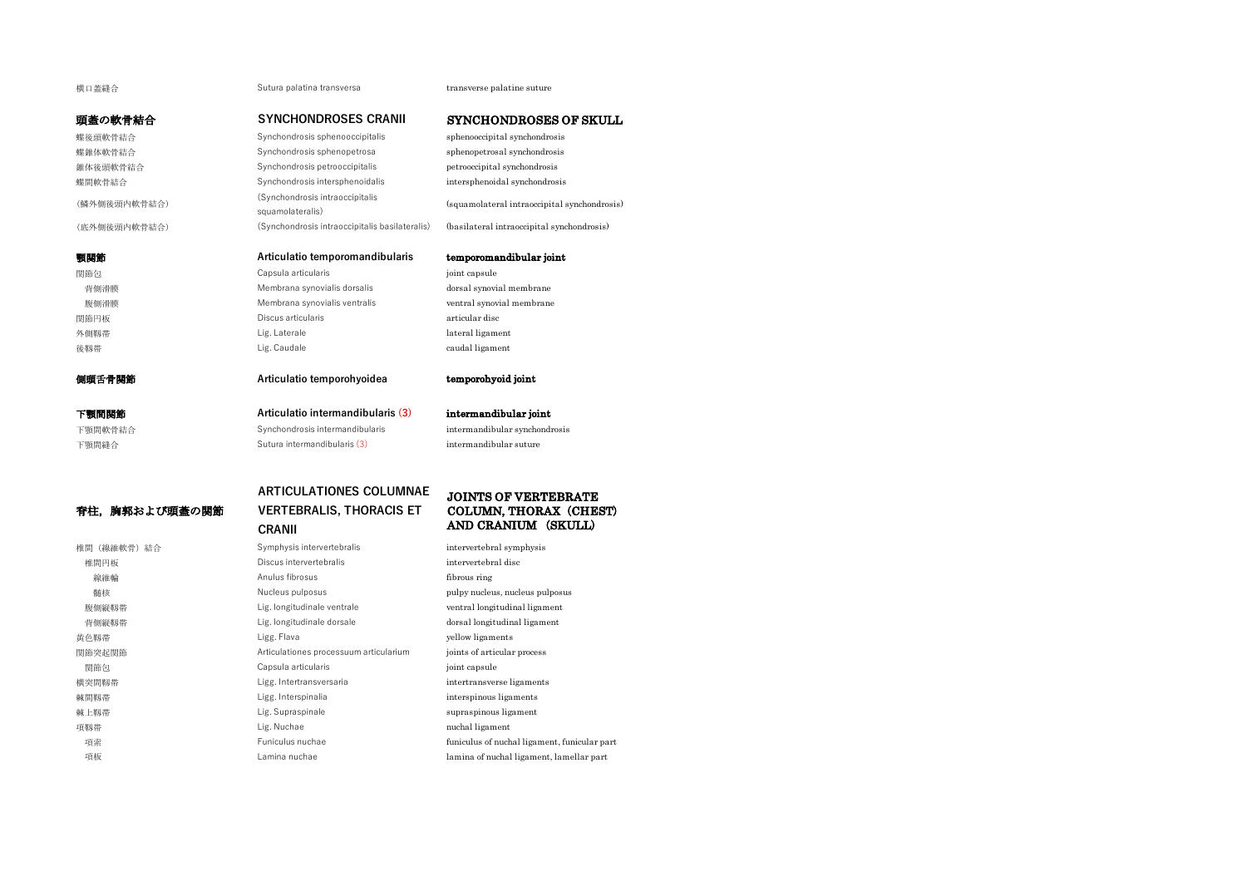# 横口蓋縫合 Sutura palatina transversa transverse palatine suture

# 頭蓋の軟骨結合 **SYNCHONDROSES CRANII** SYNCHONDROSES OF SKULL

蝶後頭軟骨結合 Synchondrosis sphenooccipitalis sphenooccipital synchondrosis 蝶錐体軟骨結合 Synchondrosis sphenopetrosa sphenopetrosal synchondrosis 錐体後頭軟骨結合 Synchondrosis petrooccipitalis petrooccipital synchondrosis 蝶間軟骨結合 **Synchondrosis intersphenoidalis** intersphenoidal synchondrosis intersphenoidal synchondrosis (鱗外側後頭内軟骨結合) (Synchondrosis intraoccipitalis squamolateralis) (squamolateral intraoccipital synchondrosis) (底外側後頭内軟骨結合) (Synchondrosis intraoccipitalis basilateralis) (basilateral intraoccipital synchondrosis) 顎関節 **Articulatio temporomandibularis** temporomandibular joint **関節包 Capsula articularis** capsula articularis in the point capsule 背側滑膜 インコン Membrana synovialis dorsalis dorsal synovial membrane 腹側滑膜 **Membrana synovialis ventralis** ventral synovial membrane 関節円板 Discus articularis articular disc 外側靱帯 インタン Lig. Laterale design that the lateral ligament 後靱帯 Lig. Caudale caudal ligament 側頭舌骨関節 **Articulatio temporohyoidea** temporohyoid joint 下顎間関節 **Articulatio intermandibularis (3)** intermandibular joint 下顎間軟骨結合 Synchondrosis intermandibularis intermandibularis intermandibular synchondrosis 下顎間縫合 **Sutura intermandibularis (3)** intermandibular suture

# 脊柱,胸郭および頭蓋の関節

# **VERTEBRALIS, THORACIS ET CRANII**

# JOINTS OF VERTEBRATE COLUMN, THORAX (CHEST) AND CRANIUM (SKULL)

椎間(線維軟骨)結合 Symphysis intervertebralis intervertebral symphysis 椎間円板 Discus intervertebralis intervertebral disc 線維輪 **Contact Anulus fibrosus** fibrosus fibrous ring 髄核 Nucleus pulposus pulpy nucleus, nucleus pulposus 腹側縦靱帯 Lig. longitudinale ventrale ventral longitudinal ligament 背側縦靱帯 インター・コンピュート Lig. longitudinale dorsale dorsal longitudinal ligament 黄色靱帯 インタン Millian Market Ligg. Flava インタン How ligaments 関節突起関節 Articulationes processuum articularium joints of articular process 関節包 **Capsula articularis** computer in the point capsule 横突間靱帯 Ligg. Intertransversaria intertransverse ligaments 棘間靱帯 Ligg. Interspinalia interspinous ligaments 棘上靱帯 Lig. Supraspinale supraspinous ligament 項靱帯 インタン Lig. Nuchae nuchal ligament 項索 Funiculus nuchae funiculus of nuchal ligament, funicular part 項板 **Lamina nuchae** lamina of nuchal ligament, lamellar part

**ARTICULATIONES COLUMNAE**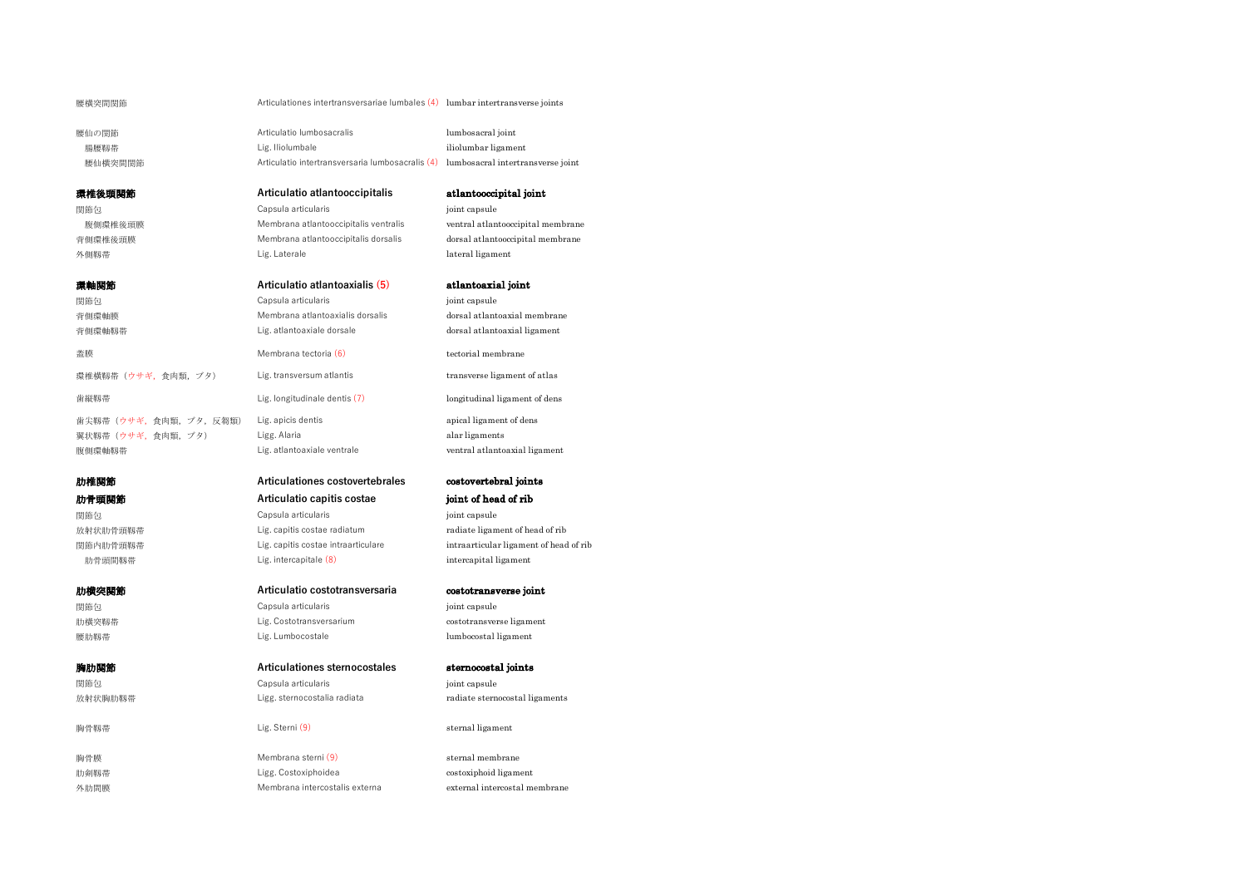```
腰横突間関節 Articulationes intertransversariae lumbales (4) lumbar intertransverse joints
```
腰仙の関節 Articulatio lumbosacralis lumbosacral joint 腸腰靱帯 インタン インタン レig. Iliolumbale インタン は こころ iliolumbar ligament 腰仙横突間関節 <br>
Articulatio intertransversaria lumbosacralis (4) lumbosacral intertransverse joint

**関節包 Capsula articularis compared in the compared of the compared in the compared in the compared in the compared in the compared in the compared in the compared in the compared in the compared in the compared in the co** 外側靱帯 インタン Lig. Laterale description of the lateral ligament

翼状靱帯 (ウサギ, 食肉類, ブタ) <br>
alar ligaments

**関節包 Capsula articularis compared in the compared of the compared in the compared in the compared in the compared in the compared in the compared in the compared in the compared in the compared in the compared in the co** 

# 背側環軸靱帯 Lig. atlantoaxiale dorsale dorsal atlantoaxial ligament **蓋膜 フィンク インター Membrana tectoria (6)** tectorial membrane 環椎横靱帯(ウサギ,食肉類,ブタ) Lig. transversum atlantis transverse ligament of atlas **歯縦靱帯** インティング インター Lig. longitudinale dentis (7) longitudinal ligament of dens 歯尖靱帯 (ウサギ, 食肉類, ブタ, 反芻類) Lig. apicis dentis apical ligament of dens 腹側環軸靱帯 Lig. atlantoaxiale ventrale ventral atlantoaxial ligament 肋椎関節 **Articulationes costovertebrales** costovertebral joints 肋骨頭関節 **Articulatio capitis costae** joint of head of rib 関節包 Capsula articularis joint capsule 放射状肋骨頭靱帯 **Lig.** capitis costae radiatum radiate ligament of head of rib 関節内肋骨頭靱帯 Lig. capitis costae intraarticulare intraarticular ligament of head of rib

# 肋横突関節 **Articulatio costotransversaria** costotransverse joint

# **関節包 Capsula articularis** capsula articularis in the point capsule 肋横突靱帯 Lig. Costotransversarium costotransverse ligament 腰肋靱帯 *Lig. Lumbocostale lumbocostal ligament*

# 胸肋関節 **Articulationes sternocostales** sternocostal joints

胸骨膜 Membrana sterni (9) sternal membrane 肋剣靱帯 Ligg. Costoxiphoidea costoxiphoid ligament 外肋間膜 インタン Membrana intercostalis externa external intercostal membrane

# 環椎後頭関節 **Articulatio atlantooccipitalis** atlantooccipital joint

腹側環椎後頭膜 **Membrana atlantooccipitalis ventralis** ventral atlantooccipital membrane 背側環椎後頭膜 Membrana atlantooccipitalis dorsalis dorsal atlantooccipital membrane

# 環軸関節 **Articulatio atlantoaxialis (5)** atlantoaxial joint

関節包 Capsula articularis joint capsule 背側環軸膜 Membrana atlantoaxialis dorsalis dorsal atlantoaxial membrane

肋骨頭間靱帯 Lig. intercapitale (8) intercapital ligament

放射状胸肋靱帯 Ligg. sternocostalia radiata radiate sternocostal ligaments

胸骨靱帯 Lig. Sterni (9) sternal ligament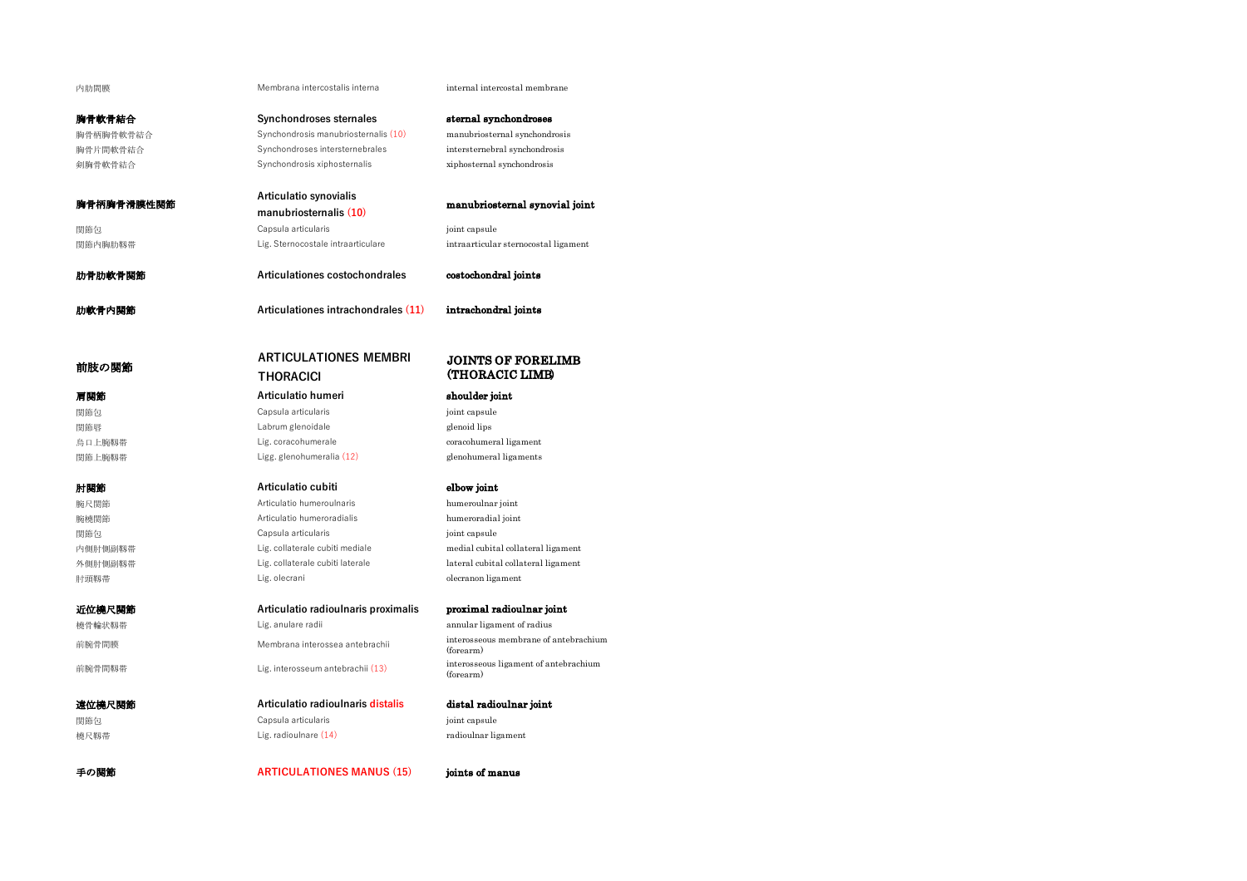内肋間膜 **Membrana intercostalis interna** internal internal intercostal membrane

manubriosternal synovial joint

胸骨軟骨結合 **Synchondroses sternales** sternal synchondroses

# 胸骨柄胸骨軟骨結合 Synchondrosis manubriosternalis (10) manubriosternal synchondrosis 胸骨片間軟骨結合 Synchondroses intersternebrales intersternebral synchondrosis 剣胸骨軟骨結合 Synchondrosis xiphosternalis xiphosternal synchondrosis

胸骨柄胸骨滑膜性関節 **Articulatio synovialis** 関節包 Capsula articularis joint capsule

関節内胸肋靱帯 Lig. Sternocostale intraarticulare intraarticular sternocostal ligament

肋骨肋軟骨関節 **Articulationes costochondrales** costochondral joints

肋軟骨内関節 **Articulationes intrachondrales (11)** intrachondral joints

**THORACICI**

# 前肢の関節 **ARTICULATIONES MEMBRI**

関節包 Capsula articularis joint capsule

**関節包 Capsula articularis** in the control of the control of the control of the control of the control of the control of the control of the control of the control of the control of the control of the control of the control

手の関節 **ARTICULATIONES MANUS (15)** joints of manus

# JOINTS OF FORELIMB (THORACIC LIMB)

# 肩関節 **Articulatio humeri** shoulder joint

関節唇 *Labrum glenoidale* glenoid lips 烏口上腕靱帯 **Lig. coracohumerale** coracohumeral coracohumeral ligament 関節上腕靱帯 Ligg. glenohumeralia (12) glenohumeral ligaments

# 肘関節 **Articulatio cubiti** elbow joint

腕尺関節 Articulatio humeroulnaris humeroulnar joint 腕橈関節 Articulatio humeroradialis humeroradial joint 内側肘側副靱帯 **Lig. collaterale cubiti mediale medial cubital collateral ligament** 外側肘側副靱帯 **Lig. collaterale cubiti laterale lateral cubital collateral ligament** 肘頭靱帯 *Lig. olecrani commanda bigament* Lig. olecrani commanda between the olecranon ligament

# 近位橈尺関節 **Articulatio radioulnaris proximalis** proximal radioulnar joint

橈骨輪状靱帯 Lig. anulare radii annular ligament of radius 前腕骨間膜 membrana interossea antebrachii interosseous membrane of antebrachium (forearm) 前腕骨間靱帯 Lig. interosseum antebrachii (13) interosseous ligament of antebrachium (forearm)

# 遠位橈尺関節 **Articulatio radioulnaris distalis** distal radioulnar joint 関節包 Capsula articularis joint capsule 橈尺靱帯 Lig. radioulnare (14) radioulnar ligament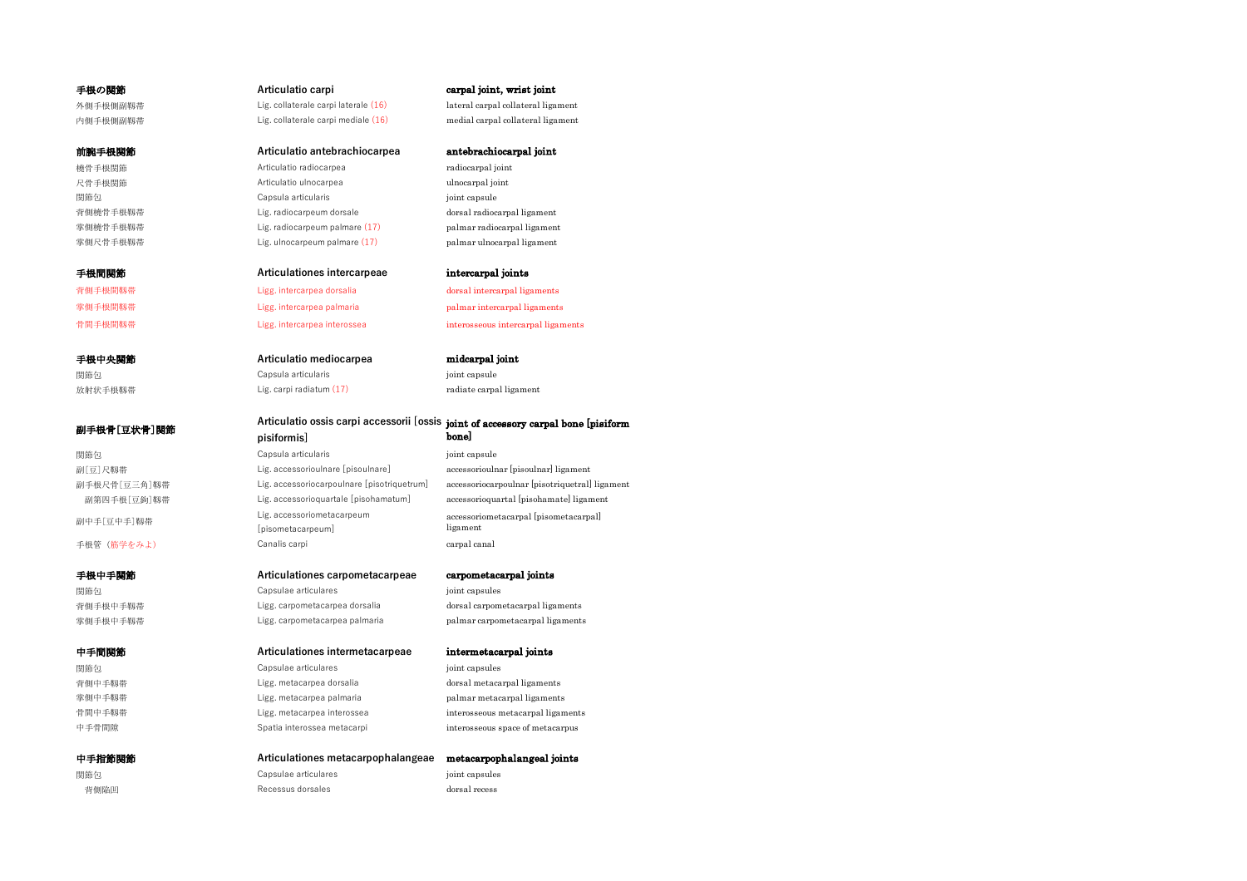# **手根の関節 インスタン インスタン Articulatio carpi** carpive carpal joint, wrist joint

外側手根側副靱帯 Lig. collaterale carpi laterale (16) lateral carpal collateral ligament 内側手根側副靱帯 Lig. collaterale carpi mediale (16) medial carpal collateral ligament

# 前腕手根関節 **Articulatio antebrachiocarpea** antebrachiocarpal joint 橈骨手根関節 Articulatio radiocarpea radiocarpal joint 尺骨手根関節 **Articulatio ulnocarpea** unocarpea unocarpal joint **関節包 Capsula articularis compared in the compared of the compared in the compared in the compared in the compared in the compared in the compared in the compared in the compared in the compared in the compared in the co** 背側橈骨手根靱帯 **Lig. radiocarpeum dorsale community** dorsal radiocarpal ligament

手根間関節 **Articulationes intercarpeae** intercarpal joints

# 背側手根間靱帯 Ligg. intercarpea dorsalia dorsal intercarpal ligaments

手根中央関節 **Articulatio mediocarpea** midcarpal joint **関節包 Capsula articularis compared in the compared of the compared in the compared in the compared in the compared in the compared in the compared in the compared in the compared in the compared in the compared in the co** 放射状手根靱帯 **Lig. carpi radiatum (17)** radiate carpal ligament

掌側橈骨手根靱帯 Lig. radiocarpeum palmare (17) palmar radiocarpal ligament 掌側尺骨手根靱帯 Lig. ulnocarpeum palmare (17) palmar ulnocarpal ligament

掌側手根間靱帯 Ligg. intercarpea palmaria palmar intercarpal ligaments 骨間手根間靱帯 Ligg. intercarpea interossea interosseous intercarpal ligaments

# 副手根骨[豆状骨]関節 **Articulatio ossis carpi accessorii [ossis** joint of accessory carpal bone [pisiform **pisiformis]** bone]

# **関節包 Capsula articularis** capsula articularis in the point capsule 副[豆]尺靱帯 Lig. accessorioulnare [pisoulnare] accessorioulnar [pisoulnar] ligament 副手根尺骨[豆三角]靱帯 Lig. accessoriocarpoulnare [pisotriquetrum] accessoriocarpoulnar [pisotriquetral] ligament 副第四手根[豆鉤]靱帯 Lig. accessorioquartale [pisohamatum] accessorioquartal [pisohamate] ligament 副中手[豆中手]靱帯 Lig. accessoriometacarpeum [pisometacarpeum] 手根管 (筋学をみよ) canalis carpi carpi carpal canal canal

# 手根中手関節 **Articulationes carpometacarpeae** carpometacarpal joints

**関節包 Capsulae articulares** in the postulation of the postulation of the postulation of the postulation of the post 背側手根中手靱帯 Ligg. carpometacarpea dorsalia dorsal carpometacarpal ligaments

# 中手間関節 **Articulationes intermetacarpeae** intermetacarpal joints

関節包 Capsulae articulares joint capsules 背側中手靱帯 Ligg. metacarpea dorsalia dorsal metacarpal ligaments 掌側中手靱帯 Ligg. metacarpea palmaria palmar metacarpal ligaments 骨間中手靱帯 **interossea interossea** interossea interossea interosseous metacarpal ligaments

# 中手指節関節 **Articulationes metacarpophalangeae** metacarpophalangeal joints **関節包 Capsulae articulares** in the post of the post of the capsules in the post of the Capsulae articulares in the post of the capsules in the post of the Capsulae articulares in the post of the capsules of the capsulae ar 背側陥凹 Recessus dorsales dorsal recess

accessoriometacarpal [pisometacarpal] ligament

掌側手根中手靱帯 Ligg. carpometacarpea palmaria palmar carpometacarpal ligaments

中手骨間隙 Spatia interossea metacarpi interosseous space of metacarpus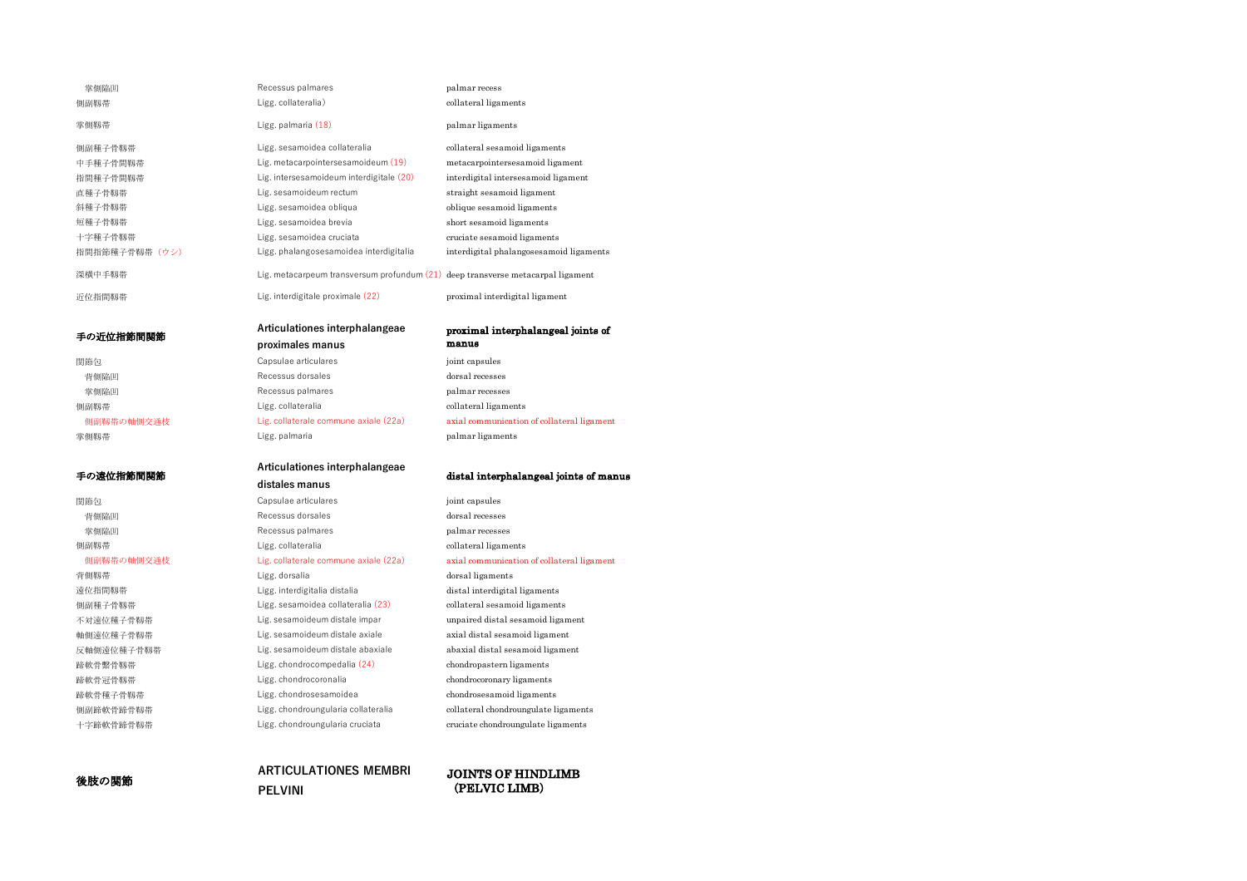| 掌側陥凹           | Recessus palmares                                                                 | palmar recess                           |
|----------------|-----------------------------------------------------------------------------------|-----------------------------------------|
| 側副靱帯           | Ligg. collateralia)                                                               | collateral ligaments                    |
| 掌側靱帯           | Ligg. palmaria (18)                                                               | palmar ligaments                        |
| 側副種子骨靱帯        | Ligg. sesamoidea collateralia                                                     | collateral sesamoid ligaments           |
| 中手種子骨間靱帯       | Lig. metacarpointersesamoideum (19)                                               | metacarpointersesamoid ligament         |
| 指間種子骨間靱帯       | Lig. intersesamoideum interdigitale (20)                                          | interdigital intersesamoid ligament     |
| 直種子骨靱帯         | Lig. sesamoideum rectum                                                           | straight sesamoid ligament              |
| 斜種子骨靱帯         | Ligg, sesamoidea obliqua                                                          | oblique sesamoid ligaments              |
| 短種子骨靱帯         | Ligg, sesamoidea brevia                                                           | short sesamoid ligaments                |
| 十字種子骨靱帯        | Ligg. sesamoidea cruciata                                                         | cruciate sesamoid ligaments             |
| 指間指節種子骨靱帯 (ウシ) | Ligg, phalangosesamoidea interdigitalia                                           | interdigital phalangosesamoid ligaments |
| 深横中手靱帯         | Lig. metacarpeum transversum profundum $(21)$ deep transverse metacarpal ligament |                                         |
| 沂位指間靱帯         | Lig. interdigitale proximale (22)                                                 | proximal interdigital ligament          |

手の近位指節間関節 **Articulationes interphalangeae**

関節包 Capsulae articulares joint capsules 背側陥凹 **Recessus dorsales** dorsales dorsal recesses 掌側陥凹 Recessus palmares palmar recesses 側副靱帯 *Ligg. collateralia* collateral ligaments 側副靱帯の軸側交通枝 Lig. collaterale commune axiale (22a) axial communication of collateral ligament 掌側靱帯 インタン Ligg. palmaria インタン palmar ligaments

背側靱帯 インタン Ligg. dorsalia dorsal ligaments

# 手の遠位指節間関節 **Articulationes interphalangeae**

**proximales manus**

# distal interphalangeal joints of manus

proximal interphalangeal joints of

関節包 Capsulae articulares joint capsules 背側陥凹 Recessus dorsales dorsal recesses 掌側陥凹 **Recessus palmares** palmares palmar recesses 側副靱帯 Ligg. collateralia collateral ligaments

manus

# 側副靱帯の軸側交通枝 Lig. collaterale commune axiale (22a) axial communication of collateral ligament

遠位指間靱帯 Ligg. interdigitalia distalia distal interdigital ligaments 側副種子骨靱帯 Ligg. sesamoidea collateralia (23) collateral sesamoid ligaments 不対遠位種子骨靱帯 Lig. sesamoideum distale impar unpaired distal sesamoid ligament 軸側遠位種子骨靱帯 Lig. sesamoideum distale axiale axial distal sesamoid ligament 反軸側遠位種子骨靱帯 Lig. sesamoideum distale abaxiale abaxial distal sesamoid ligament 蹄軟骨繫骨靱帯 Ligg. chondrocompedalia (24) chondropastern ligaments 蹄軟骨冠骨靱帯 Ligg. chondrocoronalia chondrocoronary ligaments 蹄軟骨種子骨靱帯 Ligg. chondrosesamoidea chondrosesamoid ligaments 側副蹄軟骨蹄骨靱帯 Ligg. chondroungularia collateralia collateral chondroungulate ligaments 十字蹄軟骨蹄骨靱帯 Ligg. chondroungularia cruciata cruciate chondroungulate ligaments

# 後肢の関節 **ARTICULATIONES MEMBRI PELVINI**

# JOINTS OF HINDLIMB (PELVIC LIMB)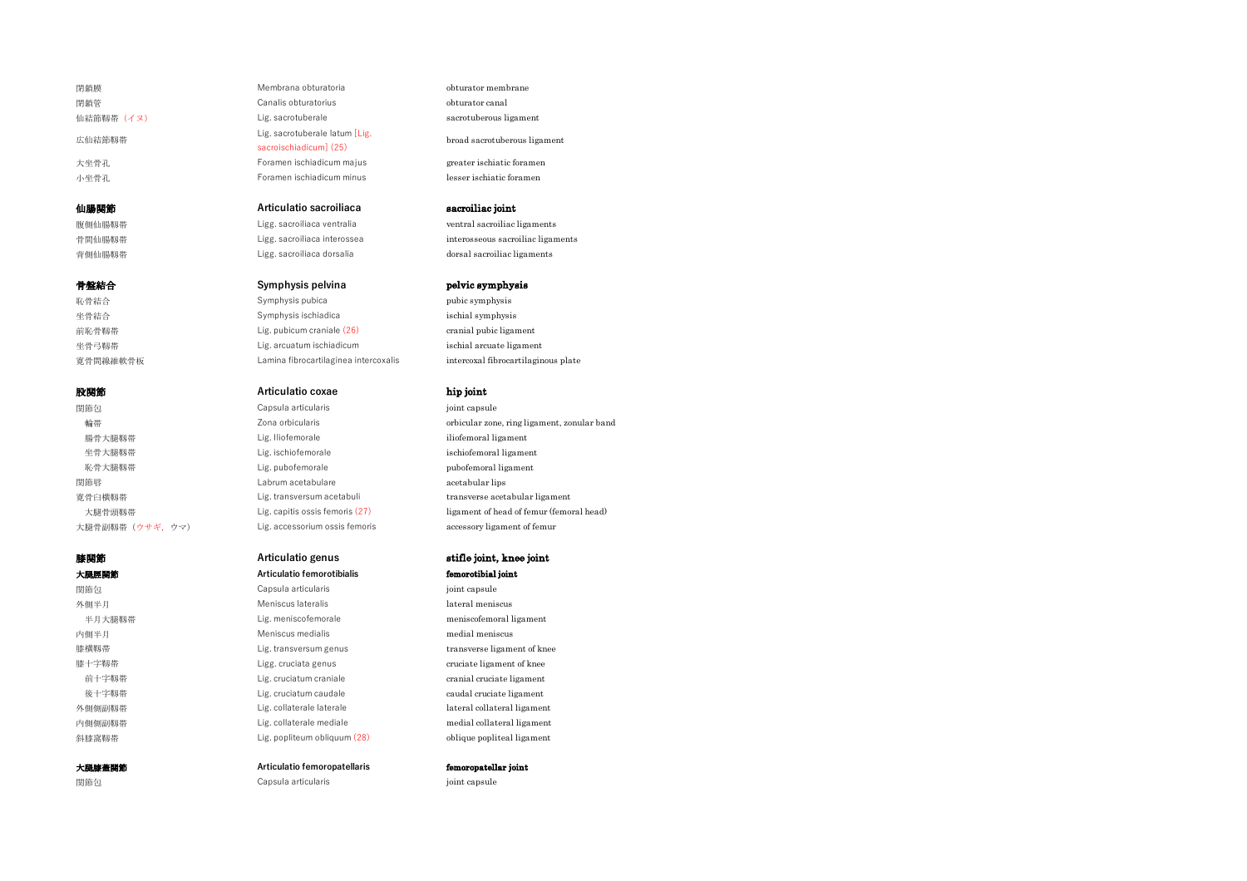# 膝関節 **Articulatio genus** stifle joint, knee joint

閉鎖膜 Membrana obturatoria obturator membrane 閉鎖管 Canalis obturatorius obturator canal 仙結節靱帯 (イヌ) controllerale controlleral business sacrotuberale sacrotuberous ligament 広仙結節靱帯 Lig. sacrotuberale latum [Lig. 大坐骨孔 Foramen ischiadicum majus **greater ischiatic foramen** 小坐骨孔 Foramen ischiadicum minus lesser ischiatic foramen

# 仙腸関節 **Articulatio sacroiliaca** sacroiliac joint

腹側仙腸靱帯 Ligg. sacroiliaca ventralia ventral sacroiliac ligaments 背側仙腸靱帯 インファイル Ligg. sacroiliaca dorsalia dorsal sacroiliac ligaments

# 骨盤結合 **Symphysis pelvina** pelvic symphysis

恥骨結合 Symphysis pubica pubic symphysis 坐骨結合 Symphysis ischiadica ischial symphysis 前恥骨靱帯 インディー Lig. pubicum craniale (26) cranial pubic ligament 坐骨弓靱帯 インター Lig. arcuatum ischiadicum ischial arcuate ligament 寛骨間線維軟骨板 Lamina fibrocartilaginea intercoxalis intercoxal fibrocartilaginous plate

# 股関節 **Articulatio coxae** hip joint

**関節包 Capsula articularis** governance ioint capsule 腸骨大腿靱帯 Lig. Iliofemorale iliofemoral ligament 坐骨大腿靱帯 **industrial ligament** Lig. ischiofemorale ischiofemoral ligament **恥骨大腿靱帯** Pubofemorale pubofemoral pubofemoral ligament **関節唇 Labrum acetabulare acetabular lips** acetabular lips

# 大腿脛関節 **Articulatio femorotibialis** femorotibial joint **関節包 Capsula articularis** capsula articularis in the point capsule 外側半月 **Meniscus lateralis** description of the Meniscus lateralis and the lateral meniscus 半月大腿靱帯 Lig. meniscofemorale meniscofemoral ligament 内側半月 **Meniscus medialis** meniscus medial meniscus medial meniscus 膝横靱帯 Lig. transversum genus transverse ligament of knee 膝十字靱帯 インタン Ligg. cruciata genus cruciate ligament of knee 前十字靱帯 **Lig. cruciatum craniale cranial cruciate cranial cruciate ligament** 後十字靱帯 **Lig. cruciatum caudale caudal cruciate ligament** 外側側副靱帯 インター Lig. collaterale laterale lateral ligament lateral collateral ligament

大腿膝蓋関節 **Articulatio femoropatellaris** femoropatellar joint

# **関節包 Capsula articularis compared in the compared of the compared of the compared in the compared of the compared of the compared in the compared of the compared of the compared of the compared of the compared of the co**

broad sacrotuberous ligament

骨間仙腸靱帯 **Ligg. sacroiliaca interossea** interossea interossea interosseous sacroiliac ligaments

輪帯 フィンピン コンピック コンピック Zona orbicularis インプレート The School ar zone, ring ligament, zonular band 寛骨臼横靱帯 Lig. transversum acetabuli transverse acetabular ligament 大腿骨頭靱帯 <br>
Lig. capitis ossis femoris (27) ligament of head of femur (femoral head) 大腿骨副靱帯(ウサギ,ウマ) Lig. accessorium ossis femoris accessory ligament of femur

内側側副靱帯 インター Lig. collaterale mediale medial collateral ligament 斜膝窩靱帯 インター Lig. popliteum obliquum (28) compliteal ligament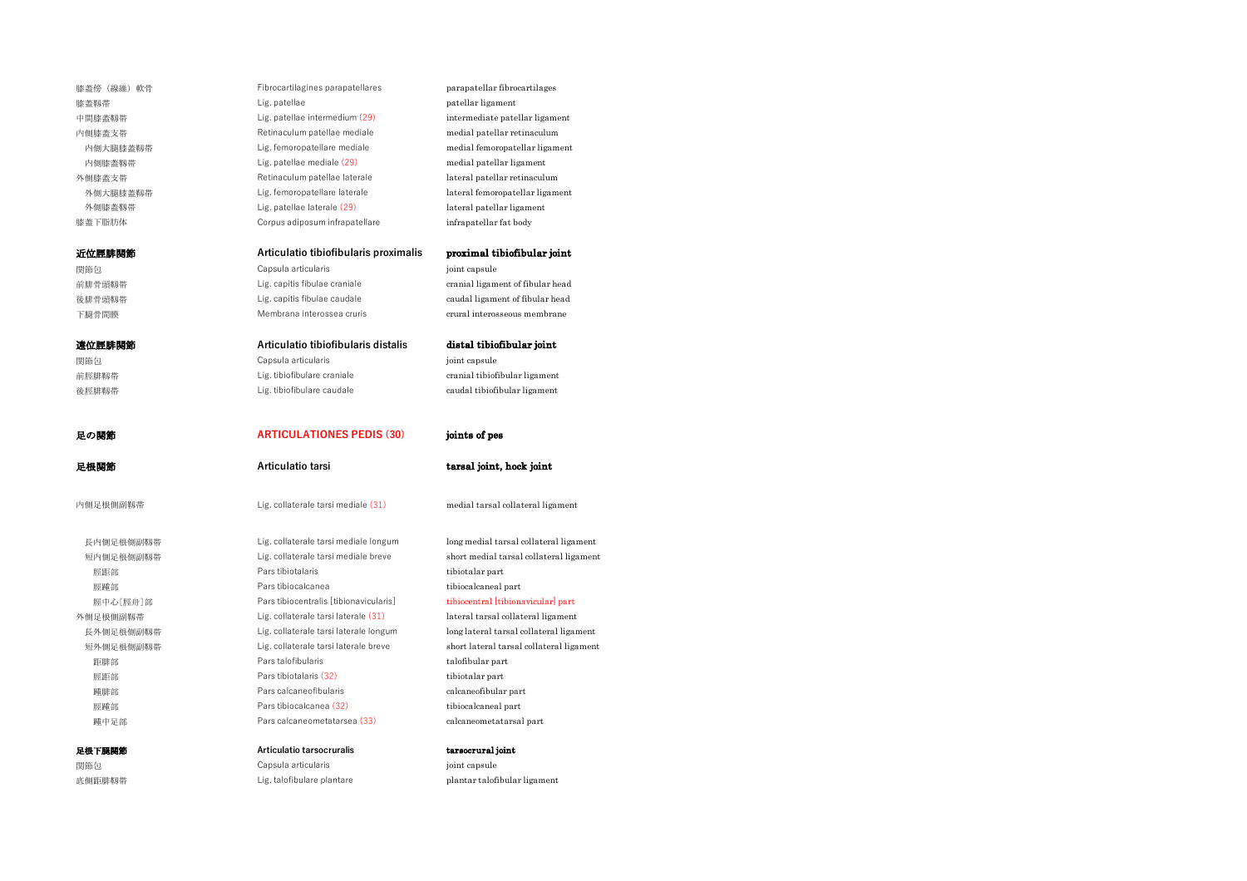| 膝蓋傍(線維)軟骨 | Fibrocartilagines parapatellares       | parapatellar fibrocartilages             |
|-----------|----------------------------------------|------------------------------------------|
| 膝蓋靱帯      | Lig. patellae                          | patellar ligament                        |
| 中間膝蓋靱帯    | Lig. patellae intermedium (29)         | intermediate patellar ligament           |
| 内側膝蓋支帯    | Retinaculum patellae mediale           | medial patellar retinaculum              |
| 内側大腿膝蓋靱帯  | Lig. femoropatellare mediale           | medial femoropatellar ligament           |
| 内側膝蓋靱帯    | Lig. patellae mediale (29)             | medial patellar ligament                 |
| 外側膝蓋支帯    | Retinaculum patellae laterale          | lateral patellar retinaculum             |
| 外側大腿膝蓋靱帯  | Lig. femoropatellare laterale          | lateral femoropatellar ligament          |
| 外側膝蓋靱帯    | Lig. patellae laterale (29)            | lateral patellar ligament                |
| 膝蓋下脂肪体    | Corpus adiposum infrapatellare         | infrapatellar fat body                   |
| 近位脛腓関節    | Articulatio tibiofibularis proximalis  | proximal tibiofibular joint              |
| 関節包       | Capsula articularis                    | joint capsule                            |
| 前腓骨頭靱帯    | Lig. capitis fibulae craniale          | cranial ligament of fibular head         |
| 後腓骨頭靱帯    | Lig. capitis fibulae caudale           | caudal ligament of fibular head          |
| 下腿骨間膜     | Membrana interossea cruris             | crural interosseous membrane             |
| 遠位脛腓関節    | Articulatio tibiofibularis distalis    | distal tibiofibular joint                |
| 関節包       | Capsula articularis                    | joint capsule                            |
| 前脛腓靱帯     | Lig. tibiofibulare craniale            | cranial tibiofibular ligament            |
| 後脛腓靱帯     | Lig. tibiofibulare caudale             | caudal tibiofibular ligament             |
|           |                                        |                                          |
| 足の関節      | <b>ARTICULATIONES PEDIS (30)</b>       | joints of pes                            |
| 足根関節      | Articulatio tarsi                      | tarsal joint, hock joint                 |
| 内側足根側副靱帯  | Lig. collaterale tarsi mediale (31)    | medial tarsal collateral ligament        |
| 長内側足根側副靱帯 | Lig. collaterale tarsi mediale longum  | long medial tarsal collateral ligament   |
| 短内側足根側副靱帯 | Lig. collaterale tarsi mediale breve   | short medial tarsal collateral ligament  |
| 脛距部       | Pars tibiotalaris                      | tibiotalar part                          |
| 脛踵部       | Pars tibiocalcanea                     | tibiocalcaneal part                      |
| 脛中心[脛舟]部  | Pars tibiocentralis [tibionavicularis] | tibiocentral [tibionavicular] part       |
| 外側足根側副靱帯  | Lig. collaterale tarsi laterale (31)   | lateral tarsal collateral ligament       |
| 長外側足根側副靱帯 | Lig. collaterale tarsi laterale longum | long lateral tarsal collateral ligament  |
| 短外側足根側副靱帯 | Lig. collaterale tarsi laterale breve  | short lateral tarsal collateral ligament |
| 距腓部       | Pars talofibularis                     | talofibular part                         |
| 脛距部       | Pars tibiotalaris (32)                 | tibiotalar part                          |
| 踵腓部       | Pars calcaneofibularis                 | calcaneofibular part                     |
| 脛踵部       | Pars tibiocalcanea (32)                | tibiocalcaneal part                      |

関節包 Capsula articularis joint capsule 底側距腓靱帯 Lig. talofibulare plantare plantar talofibular ligament

足根下腿関節 **Articulatio tarsocruralis** tarsocrural joint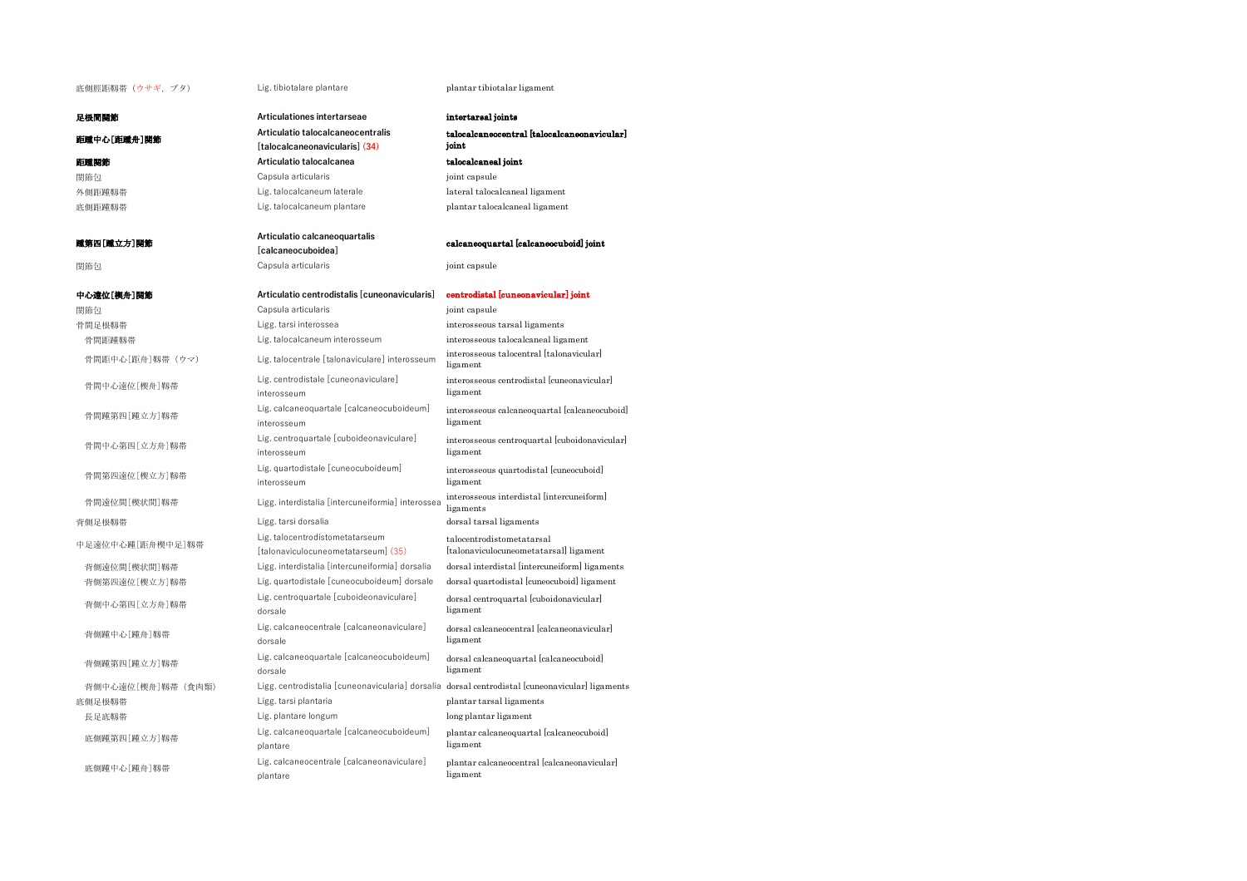底側脛距靱帯 (ウサギ, ブタ) Lig. tibiotalare plantare plantar tibiotalar ligament

足根間関節 **Articulationes intertarseae** intertarsal joints

| 距踵中心[距踵舟]関節        | Articulatio talocalcaneocentralis<br>[talocalcaneonavicularis] (34)    | talocalcaneocentral [talocalcaneonavicular]<br>joint                                            |
|--------------------|------------------------------------------------------------------------|-------------------------------------------------------------------------------------------------|
| 距踵関節               | Articulatio talocalcanea                                               | talocalcaneal joint                                                                             |
| 関節包                | Capsula articularis                                                    | joint capsule                                                                                   |
| 外側距踵靱帯             | Lig. talocalcaneum laterale                                            | lateral talocalcaneal ligament                                                                  |
| 底側距踵靱帯             | Lig. talocalcaneum plantare                                            | plantar talocalcaneal ligament                                                                  |
| 踵第四[踵立方]関節         | Articulatio calcaneoquartalis<br>[calcaneocuboidea]                    | calcaneoquartal [calcaneocuboid] joint                                                          |
| 関節包                | Capsula articularis                                                    | joint capsule                                                                                   |
| 中心遠位[楔舟]関節         | Articulatio centrodistalis [cuneonavicularis]                          | centrodistal [cuneonavicular] joint                                                             |
| 関節包                | Capsula articularis                                                    | joint capsule                                                                                   |
| 骨間足根靱帯             | Ligg. tarsi interossea                                                 | interosseous tarsal ligaments                                                                   |
| 骨間距踵靱帯             | Lig. talocalcaneum interosseum                                         | interosseous talocalcaneal ligament                                                             |
| 骨間距中心[距舟]靱帯 (ウマ)   | Lig. talocentrale [talonaviculare] interosseum                         | interosseous talocentral [talonavicular]<br>ligament                                            |
| 骨間中心遠位[楔舟]靱帯       | Lig. centrodistale [cuneonaviculare]<br>interosseum                    | interosseous centrodistal [cuneonavicular]<br>ligament                                          |
| 骨間踵第四[踵立方]靱帯       | Lig. calcaneoquartale [calcaneocuboideum]<br>interosseum               | interosseous calcaneoquartal [calcaneocuboid]<br>ligament                                       |
| 骨間中心第四[立方舟]靱帯      | Lig. centroquartale [cuboideonaviculare]<br>interosseum                | interosseous centroquartal [cuboidonavicular]<br>ligament                                       |
| 骨間第四遠位[楔立方]靱帯      | Lig. quartodistale [cuneocuboideum]<br>interosseum                     | interosseous quartodistal [cuneocuboid]<br>ligament                                             |
| 骨間遠位間[楔状間]靱帯       | Ligg. interdistalia [intercuneiformia] interossea                      | interosseous interdistal [intercuneiform]<br>ligaments                                          |
| 背側足根靱帯             | Ligg. tarsi dorsalia                                                   | dorsal tarsal ligaments                                                                         |
| 中足遠位中心踵[距舟楔中足]靱帯   | Lig. talocentrodistometatarseum<br>[talonaviculocuneometatarseum] (35) | talocentrodistometatarsal<br>[talonaviculocuneometatarsal] ligament                             |
| 背側遠位間[楔状間]靱帯       | Ligg. interdistalia [intercuneiformia] dorsalia                        | dorsal interdistal [intercuneiform] ligaments                                                   |
| 背側第四遠位[楔立方]靱帯      | Lig. quartodistale [cuneocuboideum] dorsale                            | dorsal quartodistal [cuneocuboid] ligament                                                      |
| 背側中心第四[立方舟]靱帯      | Lig. centroquartale [cuboideonaviculare]<br>dorsale                    | dorsal centroquartal [cuboidonavicular]<br>ligament                                             |
| 背側踵中心[踵舟]靱帯        | Lig. calcaneocentrale [calcaneonaviculare]<br>dorsale                  | dorsal calcaneocentral [calcaneonavicular]<br>ligament                                          |
| 背側踵第四[踵立方]靱帯       | Lig. calcaneoquartale [calcaneocuboideum]<br>dorsale                   | dorsal calcaneoquartal [calcaneocuboid]<br>ligament                                             |
| 背側中心遠位「楔舟」靱帯 (食肉類) |                                                                        | Ligg. centrodistalia [cuneonavicularia] dorsalia dorsal centrodistal [cuneonavicular] ligaments |
| 底側足根靱帯             | Ligg. tarsi plantaria                                                  | plantar tarsal ligaments                                                                        |
| 長足底靱帯              | Lig. plantare longum                                                   | long plantar ligament                                                                           |
| 底側踵第四[踵立方]靱帯       | Lig. calcaneoquartale [calcaneocuboideum]<br>plantare                  | plantar calcaneoquartal [calcaneocuboid]<br>ligament                                            |
| 底側踵中心[踵舟]靱帯        | Lig. calcaneocentrale [calcaneonaviculare]<br>plantare                 | plantar calcaneocentral [calcaneonavicular]<br>ligament                                         |